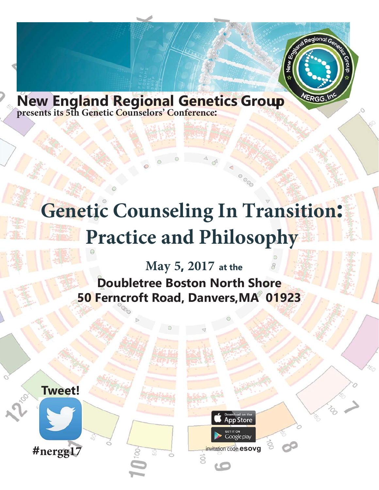

**New England Regional Genetics Group**

## **Genetic Counseling: Moving into the Future**

0000

**App Store** 

Google play

**May 4, 2018 at the Doubletree Boston North Shore 50 Ferncroft Road, Danvers,MA 01923**

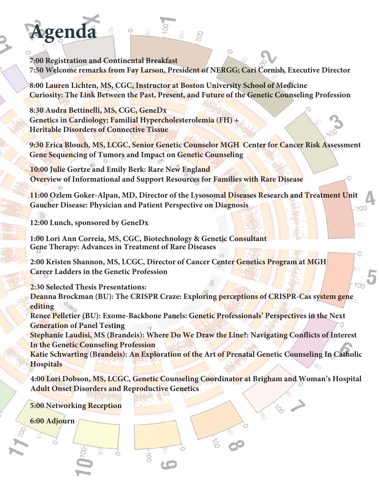#### **7:00 Registration and Continental Breakfast 7:50 Welcome remarks from Lisa Brailey, MD, President of NERGG**

**8:00 Marina DiStefano, PhD, "Interpretation of Sequence Variant Pathogenicity"**

**9:00 Deborah Rivlin, "Overview of The Children's Room: Caring Support for Grieving Children, Teens and Families Programs and Services"**

**10:00 Break**

**Agenda**

**10:15 Allison Cirino, CGC, "Keeping Pace with Cardiovascular Genetics: Updates on the Genetics of Inherited Heart Disease"**

**11:15 Kate Reed, MPH, ScM, CGC, "Education in a Next-Gen World: Approaches for Training our Colleagues"** 100

150

#### **12:15 Lunch**

**1:00 Kimberly LeBlanc, CGC, Emily Glanton, CGC, & Lauren Briere, CGC, Undiagnosed Diseases Network, "The Multidisciplinary Clinical and Research Evaluation of Patients with Rare and Undiagnosed Conditions"**

**2:00 Sally Rosengren, MD, "Would You Miss Mucopolysaccharidosis (MPS)?"**

**3:00 Break**

**3:15 Julie McKinney, "***Only 10 in the World?* **A Family's Journey with a Rare Genetic Disorder, and Some Unique New Resources to Help Other Families Find Support"**

**4:15 Ava Frank, "Our Experience with CdLS"**

**5:15 Networking Reception**

**6:00 Adjourn**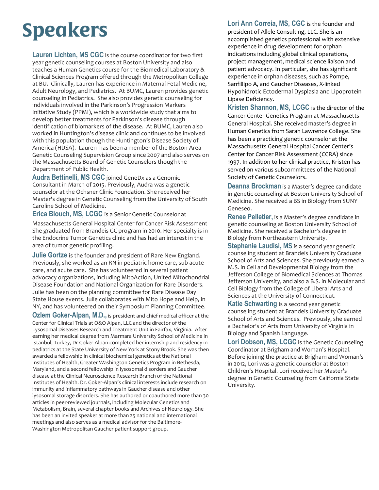## **Speakers**

A**UF]bU8]GYZJocžD\8ž**®œ¥¡Ÿ¤<sub>i</sub> ®\$¤ \*\_¥ ©«¨jœ¨š®©¡Ÿ¥¥j ` **Φ&©)! š¨! ¡Ÿ¥ě¨ œ≈«¨¥ + «®ę-°¡®'¤¡¥œ®®ª°µš Į¥éš¨** ! Ǭ¡œ∸š®fi<sub>i</sub>ª¡°¥ē⁄¡¨«<sup>з</sup> `¥°¤¡flš®š®Ỹfi<sub>i</sub>ª¡°¥é(®≸¥£` \$@\{@\$©`'¤<sub>|</sub>\¥`>\\$`|Y`\$`°°¤|`Z\$`>\«\@\$^@\Q\@!@\\\\@`Q\@\$@!\|Y\\@#`|`\$<sup>a</sup>Y` ¥\$¨«`\$¨¬\$®°¥©<sub>j</sub>¨¬«¨°Ÿ«œ«®\$¨®¨|`\$®®\$Q¨«<sup>3</sup>¨@«®°¤|`.``**¥`\£&**¨` fi<sub>l</sub>ª«©j&j¯«±®op' , `¥fijª <sup>;</sup>3 ¥¤`š¢ko $\alpha$ =̃«ª£jªjo $\alpha$ ®\$°¥ª šªŸ ¯¬¡O&\$QL¥Ĕ°¤¡° lfi£±¥Ýj¥¡¯©k®¥°̂®⊹®°¥Ĕ2`š©&\*°¯¥`£¡°¡¯` Š<sup>--</sup>«ΟŠδ°; Ϋ́<sup>3</sup> ¥¤ £; ª ; °¥Θ¤; Š®¥ £¨«¯

**BWcfU\F]j`]b¤š**`)<sub>jj</sub>a °¤j¨\@@x@x¢iY±o**š**°¥a`šaY`(@\$#£š°` (¤<sub>j .</sub> ¤¥Ÿ®ª ~&««©¢®¤<sub>j</sub> ¬š¯° ; μj š®\$®2¥±¨μ¨¤j <sup>3</sup> 𝰤j ; ~`¥?}O&<@«¢(flı k& žı š°‴«¯°«ª! ¡Ÿ¥oĕ¨ ¡ª°¡®¨fi««Ÿfi©¥¢ \$Q&{@\$© '¤;^@@\${`Y`¤;@!`\$~°;@``\`~~~`\\Y`f|±©\$<sup>a</sup>~`;{;`«~©;<sup>a</sup>°` <sub>Š</sub>ªŸfi±¥ŸŠªœ;Ф®© <sub>.</sub> «¨±©›¥)ª¥<sub>i</sub> ®¥µ

**\$OOLVRQ&LULQR, MS, CGC** \$`µœ«¨«£µœ®©∤𩡍! šŸ¥«ª)ª¥¡®¥µ¥`f|š®?¥«ª›±@E`\*¥@£¥¥\$¨ \$Q&£Q\$©`¥`fi<sub>j</sub>a`<sub>j</sub>e`¥&@@z<sup>3</sup>`j¥£`\$°"@@¤3`j~°j@`)a`¥j@¥µ'¥@

΅΅¥«ª΅¤š៑᠈ϳϳª΅šĖϳªϳ<sup></sup>°¥æ«±ª¯¡¨«®¥΅°¤<sub>j</sub>¨ ®£¤š©¨šªΫ + «©¡ª ¯ fl«¯¬¥š¨ႂš®Y¥2š¯œ¨š®fi¡ª¡°¥ē ृ¡ª°¡® ¤¡ ® ¯¤¡ ¥` ¥°«?¡Ÿ¥›«°¤¬š°¥ª°œ®®`šªŸ«ª£«¥£œ¥¥ð¨®¯¡š®®`šœ¥¥¥¯ ¥¥¤jO¥jŸ¤jš®Ÿ¥jš j '¤j¥œo®pª°µ°¤jo⊛œsš¥&¢°¤j " š°¥ªš¨' «œ¥°µ«⊄fi<sub>j</sub>ª <sub>j</sub> °¥ę́ «±ª¯j «® č®Y¥2š¯œ"š® Łfiš¯3 j ¨¨š¯' Ǥ °<sup>−−</sup>«œ¥°¥ªfi<sub>i</sub>ª«©¥œšªŸ\$®œ¥¥ª!¡Ÿ¥œ¥<sub>i√</sub>«±ªœ¥

? Uh YF W $\chi$  7; 7 is the director of the Clinical and Continuing Education Program at The Jackson Laboratory (JAX) and a board certified genetic counselor. She has over ten years of experience in clinical genetics, healthcare provider education, and program development. At JAX, she directs the clinical education effort, which focuses on developing and implementing education to facilitate the integration of genetics and genomics into clinical practice. The programs are developed in collaboration with a variety of healthcare providers and cover topics most pertinent to the intended audience, including genetic risk assessment, precision medicine, and somatic testing for cancer. Prior to joining JAX in 2013, Kate worked at the National Coalition for Health Professional Education in Genetics (NCHPEG), a non-profit focused on increasing integration of genetics into clinical practice through education. Kate also has practiced as a clinical genetic counselor in a variety of pediatric and adult settings..

**Ozlem Goker-Alpan, M.D.,** is president and chief medical officer at the Center for Clinical Trials at O&O Alpan, LLC and the director of the Lysosomal Diseases Research and Treatment Unit in Fairfax, Virginia. After earning her medical degree from Marmara University School of Medicine in Istanbul, Turkey, Dr Goker-Alpan completed her internship and residency in pediatrics at the State University of New York at Stony Brook. She was then awarded a fellowship in clinical biochemical genetics at the National Institutes of Health, Greater Washington Genetics Program in Bethesda, Maryland, and a second fellowship in lysosomal disorders and Gaucher disease at the Clinical Neuroscience Research Branch of the National Institutes of Health. Dr. Goker-Alpan's clinical interests include research on immunity and inflammatory pathways in Gaucher disease and other lysosomal storage disorders. She has authored or coauthored more than 30 articles in peer-reviewed journals, including Molecular Genetics and Metabolism, Brain, several chapter books and Archives of Neurology. She has been an invited speaker at more than 25 national and international meetings and also serves as a medical advisor for the Baltimore-Washington Metropolitan Gaucher patient support group.

**Lori Ann Correia, MS, CGC** is the founder and president of Allele Consulting, LLC. She is an accomplished genetics professional with extensive experience in drug development for orphan indications including global clinical operations, project management, medical science liaison and patient advocacy. In particular, she has significant experience in orphan diseases, such as Pompe, Sanfillipo A, and Gaucher Diseases, X-linked Hypohidrotic Ectodermal Dysplasia and Lipoprotein Lipase Deficiency.

**Kristen Shannon, MS, LCGC** is the director of the Cancer Center Genetics Program at Massachusetts General Hospital. She received master's degree in Human Genetics from Sarah Lawrence College. She has been a practicing genetic counselor at the Massachusetts General Hospital Cancer Center's Center for Cancer Risk Assessment (CCRA) since 1997. In addition to her clinical practice, Kristen has served on various subcommittees of the National Society of Genetic Counselors.

**Deanna Brockman** is a Master's degree candidate in genetic counseling at Boston University School of Medicine. She received a BS in Biology from SUNY Geneseo.

**Renee Pelletier,** is a Master's degree candidate in genetic counseling at Boston University School of Medicine. She received a Bachelor's degree in Biology from Northeastern University.

**Stephanie Laudisi, MS** is a second year genetic counseling student at Brandeis University Graduate School of Arts and Sciences. She previously earned a M.S. in Cell and Developmental Biology from the Jefferson College of Biomedical Sciences at Thomas Jefferson University, and also a B.S. in Molecular and Cell Biology from the College of Liberal Arts and Sciences at the University of Connecticut.

**Katie Schwarting** is a second year genetic counseling student at Brandeis University Graduate School of Arts and Sciences. Previously, she earned a Bachelor's of Arts from University of Virginia in Biology and Spanish Language.

**Lori Dobson, MS, LCGC** is the Genetic Counseling Coordinator at Brigham and Woman's Hospital. Before joining the practice at Brigham and Woman's in 2012, Lori was a genetic counselor at Boston Children's Hospital. Lori received her Master's degree in Genetic Counseling from California State University.